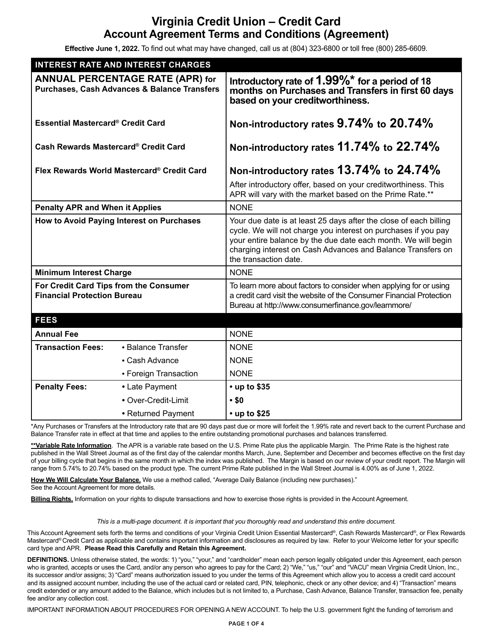# **Virginia Credit Union – Credit Card Account Agreement Terms and Conditions (Agreement)**

**Effective June 1, 2022.** To find out what may have changed, call us at (804) 323-6800 or toll free (800) 285-6609.

| <b>INTEREST RATE AND INTEREST CHARGES</b>                                                          |                       |                                                                                                                                                                                                                                                                                              |
|----------------------------------------------------------------------------------------------------|-----------------------|----------------------------------------------------------------------------------------------------------------------------------------------------------------------------------------------------------------------------------------------------------------------------------------------|
| <b>ANNUAL PERCENTAGE RATE (APR) for</b><br><b>Purchases, Cash Advances &amp; Balance Transfers</b> |                       | Introductory rate of 1.99% <sup>*</sup> for a period of 18<br>months on Purchases and Transfers in first 60 days<br>based on your creditworthiness.                                                                                                                                          |
| Essential Mastercard® Credit Card                                                                  |                       | Non-introductory rates 9.74% to 20.74%                                                                                                                                                                                                                                                       |
| Cash Rewards Mastercard® Credit Card                                                               |                       | Non-introductory rates 11.74% to 22.74%                                                                                                                                                                                                                                                      |
| Flex Rewards World Mastercard® Credit Card                                                         |                       | Non-introductory rates 13.74% to 24.74%                                                                                                                                                                                                                                                      |
|                                                                                                    |                       | After introductory offer, based on your creditworthiness. This<br>APR will vary with the market based on the Prime Rate.**                                                                                                                                                                   |
| <b>Penalty APR and When it Applies</b>                                                             |                       | <b>NONE</b>                                                                                                                                                                                                                                                                                  |
| How to Avoid Paying Interest on Purchases                                                          |                       | Your due date is at least 25 days after the close of each billing<br>cycle. We will not charge you interest on purchases if you pay<br>your entire balance by the due date each month. We will begin<br>charging interest on Cash Advances and Balance Transfers on<br>the transaction date. |
| <b>Minimum Interest Charge</b>                                                                     |                       | <b>NONE</b>                                                                                                                                                                                                                                                                                  |
| For Credit Card Tips from the Consumer<br><b>Financial Protection Bureau</b>                       |                       | To learn more about factors to consider when applying for or using<br>a credit card visit the website of the Consumer Financial Protection<br>Bureau at http://www.consumerfinance.gov/learnmore/                                                                                            |
| <b>FEES</b>                                                                                        |                       |                                                                                                                                                                                                                                                                                              |
| <b>Annual Fee</b>                                                                                  |                       | <b>NONE</b>                                                                                                                                                                                                                                                                                  |
| <b>Transaction Fees:</b>                                                                           | • Balance Transfer    | <b>NONE</b>                                                                                                                                                                                                                                                                                  |
|                                                                                                    | • Cash Advance        | <b>NONE</b>                                                                                                                                                                                                                                                                                  |
|                                                                                                    | • Foreign Transaction | <b>NONE</b>                                                                                                                                                                                                                                                                                  |
| <b>Penalty Fees:</b>                                                                               | • Late Payment        | $\cdot$ up to \$35                                                                                                                                                                                                                                                                           |
|                                                                                                    | • Over-Credit-Limit   | $\cdot$ \$0                                                                                                                                                                                                                                                                                  |
|                                                                                                    | • Returned Payment    | $\cdot$ up to \$25                                                                                                                                                                                                                                                                           |

\*Any Purchases or Transfers at the Introductory rate that are 90 days past due or more will forfeit the 1.99% rate and revert back to the current Purchase and Balance Transfer rate in effect at that time and applies to the entire outstanding promotional purchases and balances transferred.

**\*\*Variable Rate Information**. The APR is a variable rate based on the U.S. Prime Rate plus the applicable Margin. The Prime Rate is the highest rate published in the Wall Street Journal as of the first day of the calendar months March, June, September and December and becomes effective on the first day of your billing cycle that begins in the same month in which the index was published. The Margin is based on our review of your credit report. The Margin will range from 5.74% to 20.74% based on the product type. The current Prime Rate published in the Wall Street Journal is 4.00% as of June 1, 2022.

**How We Will Calculate Your Balance.** We use a method called, "Average Daily Balance (including new purchases)."

See the Account Agreement for more details.

**Billing Rights.** Information on your rights to dispute transactions and how to exercise those rights is provided in the Account Agreement.

### *This is a multi-page document. It is important that you thoroughly read and understand this entire document.*

This Account Agreement sets forth the terms and conditions of your Virginia Credit Union Essential Mastercard®, Cash Rewards Mastercard®, or Flex Rewards Mastercard® Credit Card as applicable and contains important information and disclosures as required by law. Refer to your Welcome letter for your specific card type and APR. **Please Read this Carefully and Retain this Agreement.**

**DEFINITIONS.** Unless otherwise stated, the words: 1) "you," "your," and "cardholder" mean each person legally obligated under this Agreement, each person who is granted, accepts or uses the Card, and/or any person who agrees to pay for the Card; 2) "We," "us," "our" and "VACU" mean Virginia Credit Union, Inc., its successor and/or assigns; 3) "Card" means authorization issued to you under the terms of this Agreement which allow you to access a credit card account and its assigned account number, including the use of the actual card or related card, PIN, telephonic, check or any other device; and 4) "Transaction" means credit extended or any amount added to the Balance, which includes but is not limited to, a Purchase, Cash Advance, Balance Transfer, transaction fee, penalty fee and/or any collection cost.

IMPORTANT INFORMATION ABOUT PROCEDURES FOR OPENING A NEW ACCOUNT. To help the U.S. government fight the funding of terrorism and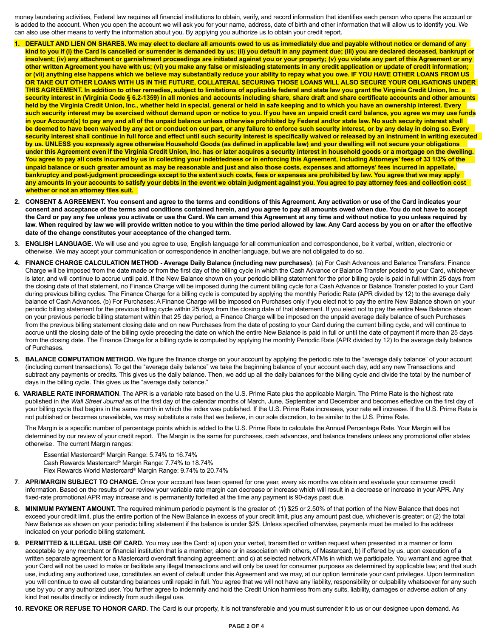money laundering activities, Federal law requires all financial institutions to obtain, verify, and record information that identifies each person who opens the account or is added to the account. When you open the account we will ask you for your name, address, date of birth and other information that will allow us to identify you. We can also use other means to verify the information about you. By applying you authorize us to obtain your credit report.

- **1. DEFAULT AND LIEN ON SHARES. We may elect to declare all amounts owed to us as immediately due and payable without notice or demand of any kind to you if (i) the Card is cancelled or surrender is demanded by us; (ii) you default in any payment due; (iii) you are declared deceased, bankrupt or**  insolvent; (iv) any attachment or garnishment proceedings are initiated against you or your property; (v) you violate any part of this Agreement or any **other written Agreement you have with us; (vi) you make any false or misleading statements in any credit application or update of credit information; or (vii) anything else happens which we believe may substantially reduce your ability to repay what you owe. IF YOU HAVE OTHER LOANS FROM US OR TAKE OUT OTHER LOANS WITH US IN THE FUTURE, COLLATERAL SECURING THOSE LOANS WILL ALSO SECURE YOUR OBLIGATIONS UNDER THIS AGREEMENT. In addition to other remedies, subject to limitations of applicable federal and state law you grant the Virginia Credit Union, Inc. a security interest in (Virginia Code § 6.2-1359) in all monies and accounts including share, share draft and share certificate accounts and other amounts held by the Virginia Credit Union, Inc., whether held in special, general or held in safe keeping and to which you have an ownership interest. Every such security interest may be exercised without demand upon or notice to you. If you have an unpaid credit card balance, you agree we may use funds in your Account(s) to pay any and all of the unpaid balance unless otherwise prohibited by Federal and/or state law. No such security interest shall be deemed to have been waived by any act or conduct on our part, or any failure to enforce such security interest, or by any delay in doing so. Every security interest shall continue in full force and effect until such security interest is specifically waived or released by an instrument in writing executed by us. UNLESS you expressly agree otherwise Household Goods (as defined in applicable law) and your dwelling will not secure your obligations under this Agreement even if the Virginia Credit Union, Inc. has or later acquires a security interest in household goods or a mortgage on the dwelling. You agree to pay all costs incurred by us in collecting your indebtedness or in enforcing this Agreement, including Attorneys' fees of 33 1/3% of the unpaid balance or such greater amount as may be reasonable and just and also those costs, expenses and attorneys' fees incurred in appellate, bankruptcy and post-judgment proceedings except to the extent such costs, fees or expenses are prohibited by law. You agree that we may apply any amounts in your accounts to satisfy your debts in the event we obtain judgment against you. You agree to pay attorney fees and collection cost whether or not an attorney files suit.**
- **2. CONSENT & AGREEMENT. You consent and agree to the terms and conditions of this Agreement. Any activation or use of the Card indicates your consent and acceptance of the terms and conditions contained herein, and you agree to pay all amounts owed when due. You do not have to accept the Card or pay any fee unless you activate or use the Card. We can amend this Agreement at any time and without notice to you unless required by**  law. When required by law we will provide written notice to you within the time period allowed by law. Any Card access by you on or after the effective **date of the change constitutes your acceptance of the changed term.**
- **3. ENGLISH LANGUAGE.** We will use and you agree to use, English language for all communication and correspondence, be it verbal, written, electronic or otherwise. We may accept your communication or correspondence in another language, but we are not obligated to do so.
- **4. FINANCE CHARGE CALCULATION METHOD Average Daily Balance (including new purchases)**. (a) For Cash Advances and Balance Transfers: Finance Charge will be imposed from the date made or from the first day of the billing cycle in which the Cash Advance or Balance Transfer posted to your Card, whichever is later, and will continue to accrue until paid. If the New Balance shown on your periodic billing statement for the prior billing cycle is paid in full within 25 days from the closing date of that statement, no Finance Charge will be imposed during the current billing cycle for a Cash Advance or Balance Transfer posted to your Card during previous billing cycles. The Finance Charge for a billing cycle is computed by applying the monthly Periodic Rate (APR divided by 12) to the average daily balance of Cash Advances. (b) For Purchases: A Finance Charge will be imposed on Purchases only if you elect not to pay the entire New Balance shown on your periodic billing statement for the previous billing cycle within 25 days from the closing date of that statement. If you elect not to pay the entire New Balance shown on your previous periodic billing statement within that 25 day period, a Finance Charge will be imposed on the unpaid average daily balance of such Purchases from the previous billing statement closing date and on new Purchases from the date of posting to your Card during the current billing cycle, and will continue to accrue until the closing date of the billing cycle preceding the date on which the entire New Balance is paid in full or until the date of payment if more than 25 days from the closing date. The Finance Charge for a billing cycle is computed by applying the monthly Periodic Rate (APR divided by 12) to the average daily balance of Purchases.
- **5. BALANCE COMPUTATION METHOD.** We figure the finance charge on your account by applying the periodic rate to the "average daily balance" of your account (including current transactions). To get the "average daily balance" we take the beginning balance of your account each day, add any new Transactions and subtract any payments or credits. This gives us the daily balance. Then, we add up all the daily balances for the billing cycle and divide the total by the number of days in the billing cycle. This gives us the "average daily balance."
- **6. VARIABLE RATE INFORMATION**. The APR is a variable rate based on the U.S. Prime Rate plus the applicable Margin. The Prime Rate is the highest rate published in *the Wall Street Journal* as of the first day of the calendar months of March, June, September and December and becomes effective on the first day of your billing cycle that begins in the same month in which the index was published. If the U.S. Prime Rate increases, your rate will increase. If the U.S. Prime Rate is not published or becomes unavailable, we may substitute a rate that we believe, in our sole discretion, to be similar to the U.S. Prime Rate.

The Margin is a specific number of percentage points which is added to the U.S. Prime Rate to calculate the Annual Percentage Rate. Your Margin will be determined by our review of your credit report. The Margin is the same for purchases, cash advances, and balance transfers unless any promotional offer states otherwise. The current Margin ranges:

Essential Mastercard® Margin Range: 5.74% to 16.74% Cash Rewards Mastercard® Margin Range: 7.74% to 18.74% Flex Rewards World Mastercard® Margin Range: 9.74% to 20.74%

- **7**. **APR/MARGIN SUBJECT TO CHANGE.** Once your account has been opened for one year, every six months we obtain and evaluate your consumer credit information. Based on the results of our review your variable rate margin can decrease or increase which will result in a decrease or increase in your APR. Any fixed-rate promotional APR may increase and is permanently forfeited at the time any payment is 90-days past due.
- **8. MINIMUM PAYMENT AMOUNT.** The required minimum periodic payment is the greater of: (1) \$25 or 2.50% of that portion of the New Balance that does not exceed your credit limit, plus the entire portion of the New Balance in excess of your credit limit, plus any amount past due, whichever is greater; or (2) the total New Balance as shown on your periodic billing statement if the balance is under \$25. Unless specified otherwise, payments must be mailed to the address indicated on your periodic billing statement.
- **9. PERMITTED & ILLEGAL USE OF CARD.** You may use the Card: a) upon your verbal, transmitted or written request when presented in a manner or form acceptable by any merchant or financial institution that is a member, alone or in association with others, of Mastercard, b) if offered by us, upon execution of a written separate agreement for a Mastercard overdraft financing agreement; and c) at selected network ATMs in which we participate. You warrant and agree that your Card will not be used to make or facilitate any illegal transactions and will only be used for consumer purposes as determined by applicable law; and that such use, including any authorized use, constitutes an event of default under this Agreement and we may, at our option terminate your card privileges. Upon termination you will continue to owe all outstanding balances until repaid in full. You agree that we will not have any liability, responsibility or culpability whatsoever for any such use by you or any authorized user. You further agree to indemnify and hold the Credit Union harmless from any suits, liability, damages or adverse action of any kind that results directly or indirectly from such illegal use.
- **10. REVOKE OR REFUSE TO HONOR CARD.** The Card is our property, it is not transferable and you must surrender it to us or our designee upon demand. As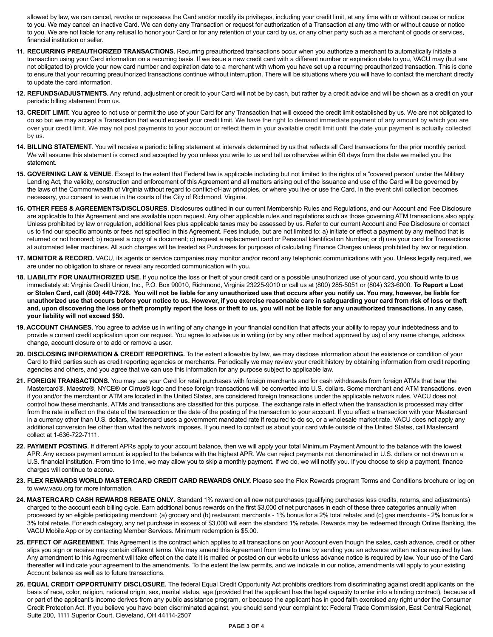allowed by law, we can cancel, revoke or repossess the Card and/or modify its privileges, including your credit limit, at any time with or without cause or notice to you. We may cancel an inactive Card. We can deny any Transaction or request for authorization of a Transaction at any time with or without cause or notice to you. We are not liable for any refusal to honor your Card or for any retention of your card by us, or any other party such as a merchant of goods or services, financial institution or seller.

- **11. RECURRING PREAUTHORIZED TRANSACTIONS.** Recurring preauthorized transactions occur when you authorize a merchant to automatically initiate a transaction using your Card information on a recurring basis. If we issue a new credit card with a different number or expiration date to you, VACU may (but are not obligated to) provide your new card number and expiration date to a merchant with whom you have set up a recurring preauthorized transaction. This is done to ensure that your recurring preauthorized transactions continue without interruption. There will be situations where you will have to contact the merchant directly to update the card information.
- **12. REFUNDS/ADJUSTMENTS.** Any refund, adjustment or credit to your Card will not be by cash, but rather by a credit advice and will be shown as a credit on your periodic billing statement from us.
- **13. CREDIT LIMIT.** You agree to not use or permit the use of your Card for any Transaction that will exceed the credit limit established by us. We are not obligated to do so but we may accept a Transaction that would exceed your credit limit. We have the right to demand immediate payment of any amount by which you are over your credit limit. We may not post payments to your account or reflect them in your available credit limit until the date your payment is actually collected by us.
- **14. BILLING STATEMENT**. You will receive a periodic billing statement at intervals determined by us that reflects all Card transactions for the prior monthly period. We will assume this statement is correct and accepted by you unless you write to us and tell us otherwise within 60 days from the date we mailed you the statement.
- **15. GOVERNING LAW & VENUE**. Except to the extent that Federal law is applicable including but not limited to the rights of a "covered person' under the Military Lending Act, the validity, construction and enforcement of this Agreement and all matters arising out of the issuance and use of the Card will be governed by the laws of the Commonwealth of Virginia without regard to conflict-of-law principles, or where you live or use the Card. In the event civil collection becomes necessary, you consent to venue in the courts of the City of Richmond, Virginia.
- **16. OTHER FEES & AGREEMENTS/DISCLOSURES**. Disclosures outlined in our current Membership Rules and Regulations, and our Account and Fee Disclosure are applicable to this Agreement and are available upon request. Any other applicable rules and regulations such as those governing ATM transactions also apply. Unless prohibited by law or regulation, additional fees plus applicable taxes may be assessed by us. Refer to our current Account and Fee Disclosure or contact us to find our specific amounts or fees not specified in this Agreement. Fees include, but are not limited to: a) initiate or effect a payment by any method that is returned or not honored; b) request a copy of a document; c) request a replacement card or Personal Identification Number; or d) use your card for Transactions at automated teller machines. All such charges will be treated as Purchases for purposes of calculating Finance Charges unless prohibited by law or regulation.
- **17. MONITOR & RECORD.** VACU, its agents or service companies may monitor and/or record any telephonic communications with you. Unless legally required, we are under no obligation to share or reveal any recorded communication with you.
- **18. LIABILITY FOR UNAUTHORIZED USE.** If you notice the loss or theft of your credit card or a possible unauthorized use of your card, you should write to us immediately at: Virginia Credit Union, Inc., P.O. Box 90010, Richmond, Virginia 23225-9010 or call us at (800) 285-5051 or (804) 323-6000. **To Report a Lost or Stolen Card, call (800) 449-7728. You will not be liable for any unauthorized use that occurs after you notify us. You may, however, be liable for unauthorized use that occurs before your notice to us. However, if you exercise reasonable care in safeguarding your card from risk of loss or theft and, upon discovering the loss or theft promptly report the loss or theft to us, you will not be liable for any unauthorized transactions. In any case, your liability will not exceed \$50.**
- **19. ACCOUNT CHANGES.** You agree to advise us in writing of any change in your financial condition that affects your ability to repay your indebtedness and to provide a current credit application upon our request. You agree to advise us in writing (or by any other method approved by us) of any name change, address change, account closure or to add or remove a user.
- **20. DISCLOSING INFORMATION & CREDIT REPORTING.** To the extent allowable by law, we may disclose information about the existence or condition of your Card to third parties such as credit reporting agencies or merchants. Periodically we may review your credit history by obtaining information from credit reporting agencies and others, and you agree that we can use this information for any purpose subject to applicable law.
- **21. FOREIGN TRANSACTIONS.** You may use your Card for retail purchases with foreign merchants and for cash withdrawals from foreign ATMs that bear the Mastercard®, Maestro®, NYCE® or Cirrus® logo and these foreign transactions will be converted into U.S. dollars. Some merchant and ATM transactions, even if you and/or the merchant or ATM are located in the United States, are considered foreign transactions under the applicable network rules. VACU does not control how these merchants, ATMs and transactions are classified for this purpose. The exchange rate in effect when the transaction is processed may differ from the rate in effect on the date of the transaction or the date of the posting of the transaction to your account. If you effect a transaction with your Mastercard in a currency other than U.S. dollars, Mastercard uses a government mandated rate if required to do so, or a wholesale market rate. VACU does not apply any additional conversion fee other than what the network imposes. If you need to contact us about your card while outside of the United States, call Mastercard collect at 1-636-722-7111.
- **22. PAYMENT POSTING.** If different APRs apply to your account balance, then we will apply your total Minimum Payment Amount to the balance with the lowest APR. Any excess payment amount is applied to the balance with the highest APR. We can reject payments not denominated in U.S. dollars or not drawn on a U.S. financial institution. From time to time, we may allow you to skip a monthly payment. If we do, we will notify you. If you choose to skip a payment, finance charges will continue to accrue.
- **23. FLEX REWARDS WORLD MASTERCARD CREDIT CARD REWARDS ONLY.** Please see the Flex Rewards program Terms and Conditions brochure or log on to www.vacu.org for more information.
- **24. MASTERCARD CASH REWARDS REBATE ONLY**. Standard 1% reward on all new net purchases (qualifying purchases less credits, returns, and adjustments) charged to the account each billing cycle. Earn additional bonus rewards on the first \$3,000 of net purchases in each of these three categories annually when processed by an eligible participating merchant: (a) grocery and (b) restaurant merchants - 1% bonus for a 2% total rebate; and (c) gas merchants - 2% bonus for a 3% total rebate. For each category, any net purchase in excess of \$3,000 will earn the standard 1% rebate. Rewards may be redeemed through Online Banking, the VACU Mobile App or by contacting Member Services. Minimum redemption is \$5.00.
- **25. EFFECT OF AGREEMENT.** This Agreement is the contract which applies to all transactions on your Account even though the sales, cash advance, credit or other slips you sign or receive may contain different terms. We may amend this Agreement from time to time by sending you an advance written notice required by law. Any amendment to this Agreement will take effect on the date it is mailed or posted on our website unless advance notice is required by law. Your use of the Card thereafter will indicate your agreement to the amendments. To the extent the law permits, and we indicate in our notice, amendments will apply to your existing Account balance as well as to future transactions.
- **26. EQUAL CREDIT OPPORTUNITY DISCLOSURE.** The federal Equal Credit Opportunity Act prohibits creditors from discriminating against credit applicants on the basis of race, color, religion, national origin, sex, marital status, age (provided that the applicant has the legal capacity to enter into a binding contract), because all or part of the applicant's income derives from any public assistance program, or because the applicant has in good faith exercised any right under the Consumer Credit Protection Act. If you believe you have been discriminated against, you should send your complaint to: Federal Trade Commission, East Central Regional, Suite 200, 1111 Superior Court, Cleveland, OH 44114-2507